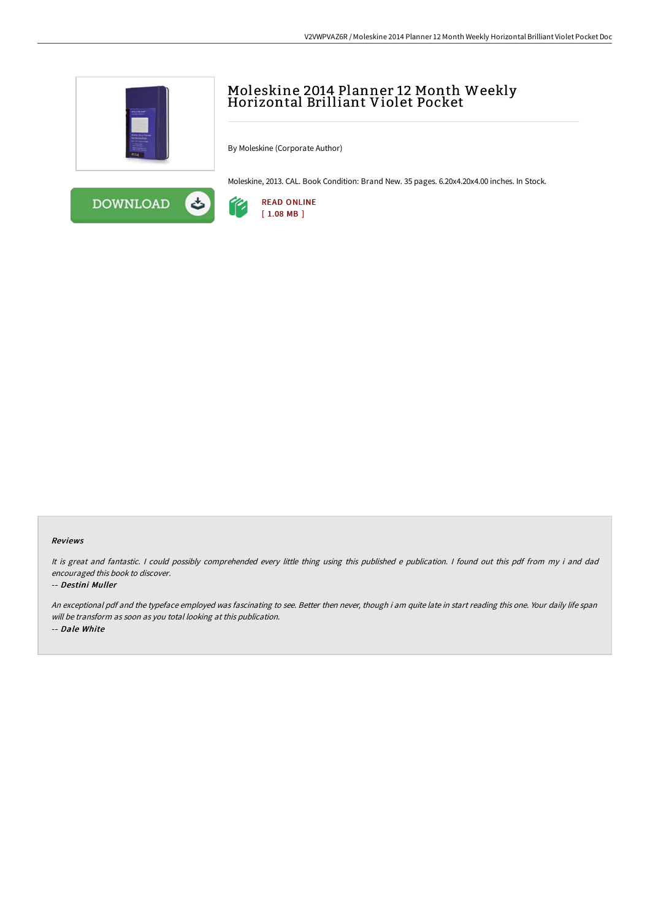

# Moleskine <sup>2014</sup> Planner <sup>12</sup> Month Weekly Horizontal Brilliant Violet Pocket

By Moleskine (Corporate Author)

Moleskine, 2013. CAL. Book Condition: Brand New. 35 pages. 6.20x4.20x4.00 inches. In Stock.





#### Reviews

It is great and fantastic. <sup>I</sup> could possibly comprehended every little thing using this published <sup>e</sup> publication. <sup>I</sup> found out this pdf from my i and dad encouraged this book to discover.

### -- Destini Muller

An exceptional pdf and the typeface employed was fascinating to see. Better then never, though i am quite late in start reading this one. Your daily life span will be transform as soon as you total looking at this publication. -- Dale White